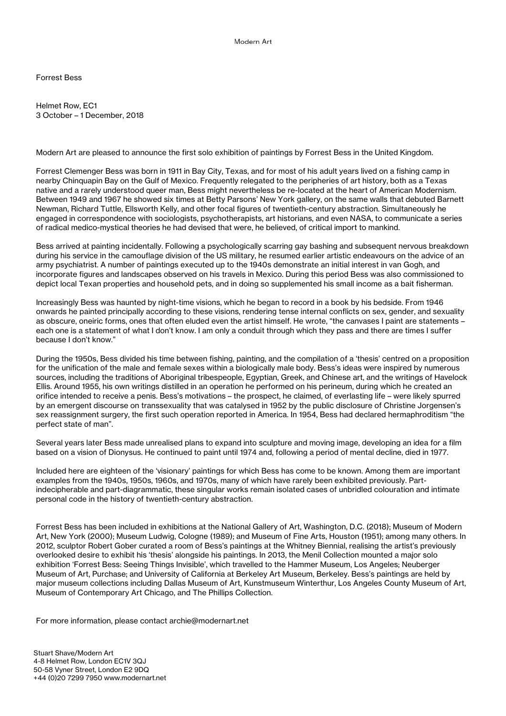Forrest Bess

Helmet Row, EC1 3 October – 1 December, 2018

Modern Art are pleased to announce the first solo exhibition of paintings by Forrest Bess in the United Kingdom.

Forrest Clemenger Bess was born in 1911 in Bay City, Texas, and for most of his adult years lived on a fishing camp in nearby Chinquapin Bay on the Gulf of Mexico. Frequently relegated to the peripheries of art history, both as a Texas native and a rarely understood queer man, Bess might nevertheless be re-located at the heart of American Modernism. Between 1949 and 1967 he showed six times at Betty Parsons' New York gallery, on the same walls that debuted Barnett Newman, Richard Tuttle, Ellsworth Kelly, and other focal figures of twentieth-century abstraction. Simultaneously he engaged in correspondence with sociologists, psychotherapists, art historians, and even NASA, to communicate a series of radical medico-mystical theories he had devised that were, he believed, of critical import to mankind.

Bess arrived at painting incidentally. Following a psychologically scarring gay bashing and subsequent nervous breakdown during his service in the camouflage division of the US military, he resumed earlier artistic endeavours on the advice of an army psychiatrist. A number of paintings executed up to the 1940s demonstrate an initial interest in van Gogh, and incorporate figures and landscapes observed on his travels in Mexico. During this period Bess was also commissioned to depict local Texan properties and household pets, and in doing so supplemented his small income as a bait fisherman.

Increasingly Bess was haunted by night-time visions, which he began to record in a book by his bedside. From 1946 onwards he painted principally according to these visions, rendering tense internal conflicts on sex, gender, and sexuality as obscure, oneiric forms, ones that often eluded even the artist himself. He wrote, "the canvases I paint are statements – each one is a statement of what I don't know. I am only a conduit through which they pass and there are times I suffer because I don't know."

During the 1950s, Bess divided his time between fishing, painting, and the compilation of a 'thesis' centred on a proposition for the unification of the male and female sexes within a biologically male body. Bess's ideas were inspired by numerous sources, including the traditions of Aboriginal tribespeople, Egyptian, Greek, and Chinese art, and the writings of Havelock Ellis. Around 1955, his own writings distilled in an operation he performed on his perineum, during which he created an orifice intended to receive a penis. Bess's motivations – the prospect, he claimed, of everlasting life – were likely spurred by an emergent discourse on transsexuality that was catalysed in 1952 by the public disclosure of Christine Jorgensen's sex reassignment surgery, the first such operation reported in America. In 1954, Bess had declared hermaphroditism "the perfect state of man".

Several years later Bess made unrealised plans to expand into sculpture and moving image, developing an idea for a film based on a vision of Dionysus. He continued to paint until 1974 and, following a period of mental decline, died in 1977.

Included here are eighteen of the 'visionary' paintings for which Bess has come to be known. Among them are important examples from the 1940s, 1950s, 1960s, and 1970s, many of which have rarely been exhibited previously. Partindecipherable and part-diagrammatic, these singular works remain isolated cases of unbridled colouration and intimate personal code in the history of twentieth-century abstraction.

Forrest Bess has been included in exhibitions at the National Gallery of Art, Washington, D.C. (2018); Museum of Modern Art, New York (2000); Museum Ludwig, Cologne (1989); and Museum of Fine Arts, Houston (1951); among many others. In 2012, sculptor Robert Gober curated a room of Bess's paintings at the Whitney Biennial, realising the artist's previously overlooked desire to exhibit his 'thesis' alongside his paintings. In 2013, the Menil Collection mounted a major solo exhibition 'Forrest Bess: Seeing Things Invisible', which travelled to the Hammer Museum, Los Angeles; Neuberger Museum of Art, Purchase; and University of California at Berkeley Art Museum, Berkeley. Bess's paintings are held by major museum collections including Dallas Museum of Art, Kunstmuseum Winterthur, Los Angeles County Museum of Art, Museum of Contemporary Art Chicago, and The Phillips Collection.

For more information, please contact archie@modernart.net